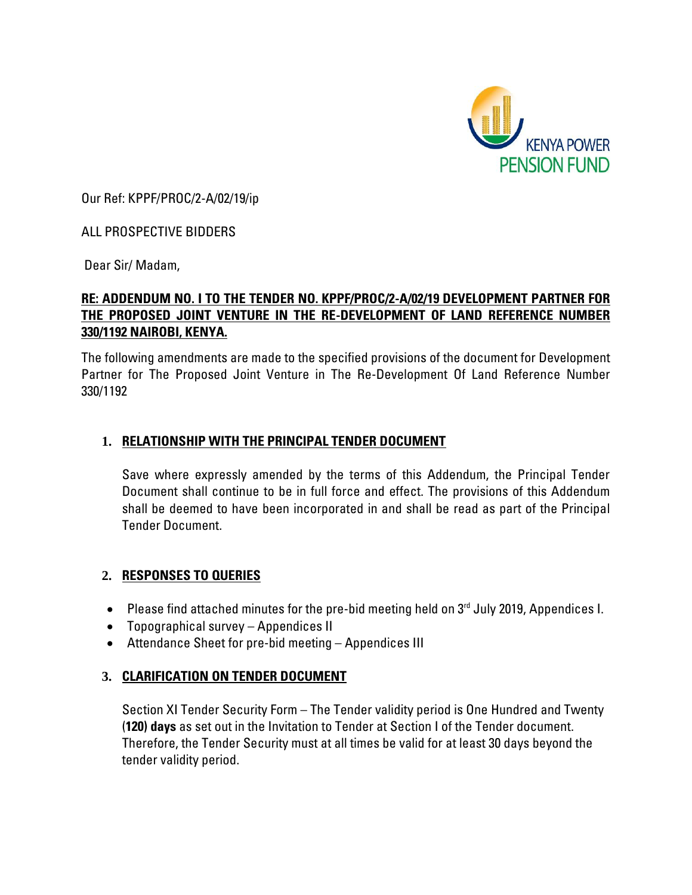

Our Ref: KPPF/PROC/2-A/02/19/ip

## ALL PROSPECTIVE BIDDERS

Dear Sir/ Madam,

## **RE: ADDENDUM NO. I TO THE TENDER NO. KPPF/PROC/2-A/02/19 DEVELOPMENT PARTNER FOR THE PROPOSED JOINT VENTURE IN THE RE-DEVELOPMENT OF LAND REFERENCE NUMBER 330/1192 NAIROBI, KENYA.**

The following amendments are made to the specified provisions of the document for Development Partner for The Proposed Joint Venture in The Re-Development Of Land Reference Number 330/1192

# **1. RELATIONSHIP WITH THE PRINCIPAL TENDER DOCUMENT**

Save where expressly amended by the terms of this Addendum, the Principal Tender Document shall continue to be in full force and effect. The provisions of this Addendum shall be deemed to have been incorporated in and shall be read as part of the Principal Tender Document.

#### **2. RESPONSES TO QUERIES**

- Please find attached minutes for the pre-bid meeting held on  $3<sup>rd</sup>$  July 2019, Appendices I.
- Topographical survey Appendices II
- Attendance Sheet for pre-bid meeting Appendices III

# **3. CLARIFICATION ON TENDER DOCUMENT**

Section XI Tender Security Form – The Tender validity period is One Hundred and Twenty (**120) days** as set out in the Invitation to Tender at Section I of the Tender document. Therefore, the Tender Security must at all times be valid for at least 30 days beyond the tender validity period.